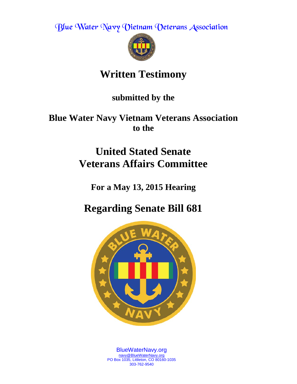Blue Water Navy Vietnam Veterans Association



# **Written Testimony**

**submitted by the** 

**Blue Water Navy Vietnam Veterans Association to the** 

# **United Stated Senate Veterans Affairs Committee**

**For a May 13, 2015 Hearing**

**Regarding Senate Bill 681**



BlueWaterNavy.org [navy@BlueWaterNavy.org](mailto:navy@BlueWaterNavy.org) PO Box 1035, Littleton, CO 80160-1035 303-762-9540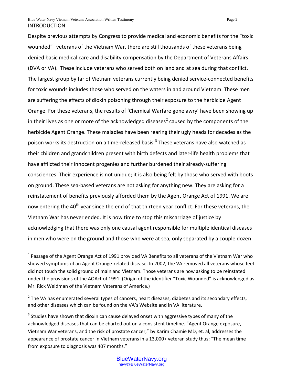$\overline{a}$ 

Despite previous attempts by Congress to provide medical and economic benefits for the "toxic wounded" $1$  veterans of the Vietnam War, there are still thousands of these veterans being denied basic medical care and disability compensation by the Department of Veterans Affairs (DVA or VA). These include veterans who served both on land and at sea during that conflict. The largest group by far of Vietnam veterans currently being denied service-connected benefits for toxic wounds includes those who served on the waters in and around Vietnam. These men are suffering the effects of dioxin poisoning through their exposure to the herbicide Agent Orange. For these veterans, the results of 'Chemical Warfare gone awry' have been showing up in their lives as one or more of the acknowledged diseases<sup>[2](#page-1-1)</sup> caused by the components of the herbicide Agent Orange. These maladies have been rearing their ugly heads for decades as the poison works its destruction on a time-released basis.<sup>[3](#page-1-2)</sup> These veterans have also watched as their children and grandchildren present with birth defects and later-life health problems that have afflicted their innocent progenies and further burdened their already-suffering consciences. Their experience is not unique; it is also being felt by those who served with boots on ground. These sea-based veterans are not asking for anything new. They are asking for a reinstatement of benefits previously afforded them by the Agent Orange Act of 1991. We are now entering the 40<sup>th</sup> year since the end of that thirteen year conflict. For these veterans, the Vietnam War has never ended. It is now time to stop this miscarriage of justice by acknowledging that there was only one causal agent responsible for multiple identical diseases in men who were on the ground and those who were at sea, only separated by a couple dozen

<span id="page-1-0"></span> $1$  Passage of the Agent Orange Act of 1991 provided VA Benefits to all veterans of the Vietnam War who showed symptoms of an Agent Orange-related disease. In 2002, the VA removed all veterans whose feet did not touch the solid ground of mainland Vietnam. Those veterans are now asking to be reinstated under the provisions of the AOAct of 1991. (Origin of the identifier "Toxic Wounded" is acknowledged as Mr. Rick Weidman of the Vietnam Veterans of America.)

<span id="page-1-1"></span> $2$  The VA has enumerated several types of cancers, heart diseases, diabetes and its secondary effects, and other diseases which can be found on the VA's Website and in VA literature.

<span id="page-1-2"></span><sup>&</sup>lt;sup>3</sup> Studies have shown that dioxin can cause delayed onset with aggressive types of many of the acknowledged diseases that can be charted out on a consistent timeline. "Agent Orange exposure, Vietnam War veterans, and the risk of prostate cancer," by Karim Chamie MD, et. al, addresses the appearance of prostate cancer in Vietnam veterans in a 13,000+ veteran study thus: "The mean time from exposure to diagnosis was 407 months."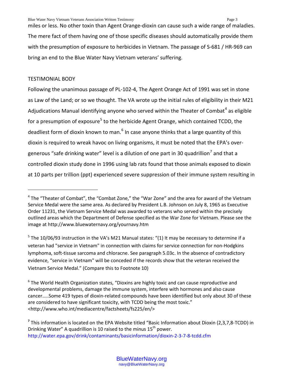miles or less. No other toxin than Agent Orange-dioxin can cause such a wide range of maladies. The mere fact of them having one of those specific diseases should automatically provide them with the presumption of exposure to herbicides in Vietnam. The passage of S-681 / HR-969 can bring an end to the Blue Water Navy Vietnam veterans' suffering.

# TESTIMONIAL BODY

 $\overline{a}$ 

Following the unanimous passage of PL-102-4, The Agent Orange Act of 1991 was set in stone as Law of the Land; or so we thought. The VA wrote up the initial rules of eligibility in their M21 Adjudications Manual identifying anyone who served within the Theater of Combat<sup>[4](#page-2-0)</sup> as eligible for a presumption of exposure<sup>[5](#page-2-1)</sup> to the herbicide Agent Orange, which contained TCDD, the deadliest form of dioxin known to man. $<sup>6</sup>$  $<sup>6</sup>$  $<sup>6</sup>$  In case anyone thinks that a large quantity of this</sup> dioxin is required to wreak havoc on living organisms, it must be noted that the EPA's over-generous "safe drinking water" level is a dilution of one part in 30 quadrillion<sup>[7](#page-2-3)</sup> and that a controlled dioxin study done in 1996 using lab rats found that those animals exposed to dioxin at 10 parts per trillion (ppt) experienced severe suppression of their immune system resulting in

<span id="page-2-0"></span><sup>&</sup>lt;sup>4</sup> The "Theater of Combat", the "Combat Zone," the "War Zone" and the area for award of the Vietnam Service Medal were the same area. As declared by President L.B. Johnson on July 8, 1965 as Executive Order 11231, the Vietnam Service Medal was awarded to veterans who served within the precisely outlined areas which the Department of Defense specified as the War Zone for Vietnam. Please see the image at http://www.bluewaternavy.org/yournavy.htm

<span id="page-2-1"></span> $5$  The 10/06/93 instruction in the VA's M21 Manual states: "(1) It may be necessary to determine if a veteran had "service in Vietnam" in connection with claims for service connection for non-Hodgkins lymphoma, soft-tissue sarcoma and chloracne. See paragraph 5.03c. In the absence of contradictory evidence, "service in Vietnam" will be conceded if the records show that the veteran received the Vietnam Service Medal." (Compare this to Footnote 10)

<span id="page-2-2"></span> $6$  The World Health Organization states, "Dioxins are highly toxic and can cause reproductive and developmental problems, damage the immune system, interfere with hormones and also cause cancer…..Some 419 types of dioxin-related compounds have been identified but only about 30 of these are considered to have significant toxicity, with TCDD being the most toxic." <http://www.who.int/mediacentre/factsheets/fs225/en/>

<span id="page-2-3"></span>**<sup>7</sup>** This information is located on the EPA Website titled "Basic Information about Dioxin (2,3,7,8-TCDD) in Drinking Water" A quadrillion is 10 raised to the minus  $15<sup>th</sup>$  power. <http://water.epa.gov/drink/contaminants/basicinformation/dioxin-2-3-7-8-tcdd.cfm>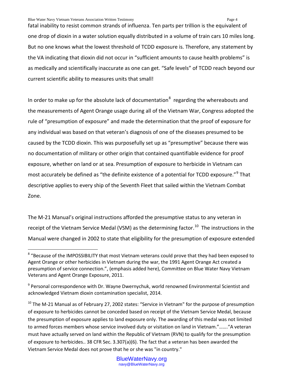Blue Water Navy Vietnam Veterans Association Written Testimony Page 4

 $\overline{a}$ 

fatal inability to resist common strands of influenza. Ten parts per trillion is the equivalent of one drop of dioxin in a water solution equally distributed in a volume of train cars 10 miles long. But no one knows what the lowest threshold of TCDD exposure is. Therefore, any statement by the VA indicating that dioxin did not occur in "sufficient amounts to cause health problems" is as medically and scientifically inaccurate as one can get. "Safe levels" of TCDD reach beyond our current scientific ability to measures units that small!

In order to make up for the absolute lack of documentation<sup>[8](#page-3-0)</sup> regarding the whereabouts and the measurements of Agent Orange usage during all of the Vietnam War, Congress adopted the rule of "presumption of exposure" and made the determination that the proof of exposure for any individual was based on that veteran's diagnosis of one of the diseases presumed to be caused by the TCDD dioxin. This was purposefully set up as "presumptive" because there was no documentation of military or other origin that contained quantifiable evidence for proof exposure, whether on land or at sea. Presumption of exposure to herbicide in Vietnam can most accurately be defined as "the definite existence of a potential for TCDD exposure."<sup>[9](#page-3-1)</sup> That descriptive applies to every ship of the Seventh Fleet that sailed within the Vietnam Combat Zone.

The M-21 Manual's original instructions afforded the presumptive status to any veteran in receipt of the Vietnam Service Medal (VSM) as the determining factor.<sup>10</sup> The instructions in the Manual were changed in 2002 to state that eligibility for the presumption of exposure extended

<span id="page-3-0"></span><sup>&</sup>lt;sup>8</sup> "Because of the IMPOSSIBILITY that most Vietnam veterans could prove that they had been exposed to Agent Orange or other herbicides in Vietnam during the war, the 1991 Agent Orange Act created a presumption of service connection.", (emphasis added here), Committee on Blue Water Navy Vietnam Veterans and Agent Orange Exposure, 2011.

<span id="page-3-1"></span> $9$  Personal correspondence with Dr. Wayne Dwernychuk, world renowned Environmental Scientist and acknowledged Vietnam dioxin contamination specialist, 2014.

<span id="page-3-2"></span> $10$  The M-21 Manual as of February 27, 2002 states: "Service in Vietnam" for the purpose of presumption of exposure to herbicides cannot be conceded based on receipt of the Vietnam Service Medal, because the presumption of exposure applies to land exposure only. The awarding of this medal was not limited to armed forces members whose service involved duty or visitation on land in Vietnam."……."A veteran must have actually served on land within the Republic of Vietnam (RVN) to qualify for the presumption of exposure to herbicides.. 38 CFR Sec. 3.307(a)(6). The fact that a veteran has been awarded the Vietnam Service Medal does not prove that he or she was "in country."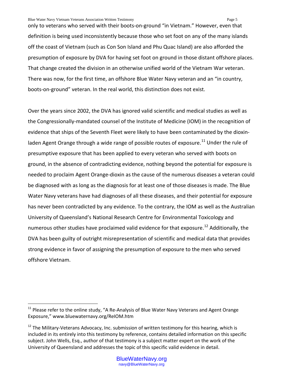only to veterans who served with their boots-on-ground "in Vietnam." However, even that definition is being used inconsistently because those who set foot on any of the many islands off the coast of Vietnam (such as Con Son Island and Phu Quac Island) are also afforded the presumption of exposure by DVA for having set foot on ground in those distant offshore places. That change created the division in an otherwise unified world of the Vietnam War veteran. There was now, for the first time, an offshore Blue Water Navy veteran and an "in country, boots-on-ground" veteran. In the real world, this distinction does not exist.

Over the years since 2002, the DVA has ignored valid scientific and medical studies as well as the Congressionally-mandated counsel of the Institute of Medicine (IOM) in the recognition of evidence that ships of the Seventh Fleet were likely to have been contaminated by the dioxin-laden Agent Orange through a wide range of possible routes of exposure.<sup>[11](#page-4-0)</sup> Under the rule of presumptive exposure that has been applied to every veteran who served with boots on ground, in the absence of contradicting evidence, nothing beyond the potential for exposure is needed to proclaim Agent Orange-dioxin as the cause of the numerous diseases a veteran could be diagnosed with as long as the diagnosis for at least one of those diseases is made. The Blue Water Navy veterans have had diagnoses of all these diseases, and their potential for exposure has never been contradicted by any evidence. To the contrary, the IOM as well as the Australian University of Queensland's National Research Centre for Environmental Toxicology and numerous other studies have proclaimed valid evidence for that exposure.<sup>[12](#page-4-1)</sup> Additionally, the DVA has been guilty of outright misrepresentation of scientific and medical data that provides strong evidence in favor of assigning the presumption of exposure to the men who served offshore Vietnam.

 $\overline{a}$ 

<span id="page-4-0"></span> $11$  Please refer to the online study, "A Re-Analysis of Blue Water Navy Veterans and Agent Orange Exposure," www.bluewaternavy.org/ReIOM.htm

<span id="page-4-1"></span> $12$  The Military-Veterans Advocacy, Inc. submission of written testimony for this hearing, which is included in its entirely into this testimony by reference, contains detailed information on this specific subject. John Wells, Esq., author of that testimony is a subject matter expert on the work of the University of Queensland and addresses the topic of this specific valid evidence in detail.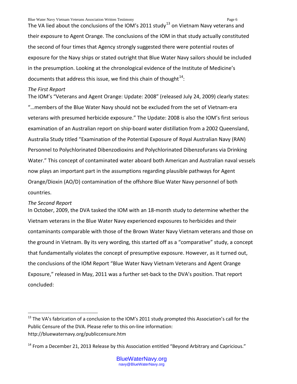The VA lied about the conclusions of the IOM's 2011 study<sup>[13](#page-5-0)</sup> on Vietnam Navy veterans and their exposure to Agent Orange. The conclusions of the IOM in that study actually constituted the second of four times that Agency strongly suggested there were potential routes of exposure for the Navy ships or stated outright that Blue Water Navy sailors should be included in the presumption. Looking at the chronological evidence of the Institute of Medicine's documents that address this issue, we find this chain of thought $^{14}$  $^{14}$  $^{14}$ :

## *The First Report*

The IOM's "Veterans and Agent Orange: Update: 2008" (released July 24, 2009) clearly states: "…members of the Blue Water Navy should not be excluded from the set of Vietnam-era veterans with presumed herbicide exposure." The Update: 2008 is also the IOM's first serious examination of an Australian report on ship-board water distillation from a 2002 Queensland, Australia Study titled "Examination of the Potential Exposure of Royal Australian Navy (RAN) Personnel to Polychlorinated Dibenzodioxins and Polychlorinated Dibenzofurans via Drinking Water." This concept of contaminated water aboard both American and Australian naval vessels now plays an important part in the assumptions regarding plausible pathways for Agent Orange/Dioxin (AO/D) contamination of the offshore Blue Water Navy personnel of both countries.

# *The Second Report*

 $\overline{a}$ 

In October, 2009, the DVA tasked the IOM with an 18-month study to determine whether the Vietnam veterans in the Blue Water Navy experienced exposures to herbicides and their contaminants comparable with those of the Brown Water Navy Vietnam veterans and those on the ground in Vietnam. By its very wording, this started off as a "comparative" study, a concept that fundamentally violates the concept of presumptive exposure. However, as it turned out, the conclusions of the IOM Report "Blue Water Navy Vietnam Veterans and Agent Orange Exposure," released in May, 2011 was a further set-back to the DVA's position. That report concluded:

<span id="page-5-0"></span><sup>&</sup>lt;sup>13</sup> The VA's fabrication of a conclusion to the IOM's 2011 study prompted this Association's call for the Public Censure of the DVA. Please refer to this on-line information: http://bluewaternavy.org/publiccensure.htm

<span id="page-5-1"></span> $14$  From a December 21, 2013 Release by this Association entitled "Beyond Arbitrary and Capricious."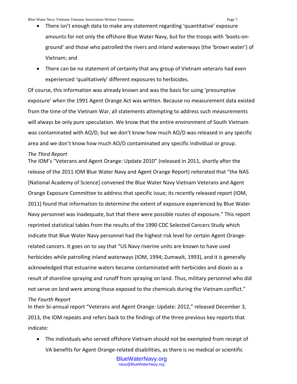- There isn't enough data to make any statement regarding 'quantitative' exposure amounts for not only the offshore Blue Water Navy, but for the troops with 'boots-onground' and those who patrolled the rivers and inland waterways (the 'brown water') of Vietnam; and
- There can be no statement of certainty that any group of Vietnam veterans had even experienced 'qualitatively' different exposures to herbicides.

Of course, this information was already known and was the basis for using 'presumptive exposure' when the 1991 Agent Orange Act was written. Because no measurement data existed from the time of the Vietnam War, all statements attempting to address such measurements will always be only pure speculation. We know that the entire environment of South Vietnam was contaminated with AO/D, but we don't know how much AO/D was released in any specific area and we don't know how much AO/D contaminated any specific individual or group.

#### *The Third Report*

The IOM's "Veterans and Agent Orange: Update 2010" (released in 2011, shortly after the release of the 2011 IOM Blue Water Navy and Agent Orange Report) reiterated that "the NAS [National Academy of Science] convened the Blue Water Navy Vietnam Veterans and Agent Orange Exposure Committee to address that specific issue; its recently released report (IOM, 2011) found that information to determine the extent of exposure experienced by Blue Water Navy personnel was inadequate, but that there were possible routes of exposure." This report reprinted statistical tables from the results of the 1990 CDC Selected Cancers Study which indicate that Blue Water Navy personnel had the highest risk level for certain Agent Orangerelated cancers. It goes on to say that "US Navy riverine units are known to have used herbicides while patrolling inland waterways (IOM, 1994; Zumwalt, 1993), and it is generally acknowledged that estuarine waters became contaminated with herbicides and dioxin as a result of shoreline spraying and runoff from spraying on land. Thus, military personnel who did not serve on land were among those exposed to the chemicals during the Vietnam conflict."

### *The Fourth Report*

In their bi-annual report "Veterans and Agent Orange: Update: 2012," released December 3, 2013, the IOM repeats and refers back to the findings of the three previous key reports that indicate:

• The individuals who served offshore Vietnam should not be exempted from receipt of VA benefits for Agent Orange-related disabilities, as there is no medical or scientific

> BlueWaterNavy.org navy@BlueWaterNavy.org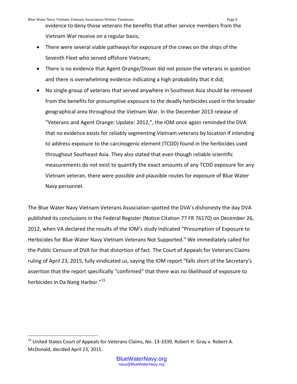evidence to deny those veterans the benefits that other service members from the Vietnam War receive on a regular basis;

- There were several viable pathways for exposure of the crews on the ships of the Seventh Fleet who served offshore Vietnam;
- There is no evidence that Agent Orange/Dioxin did not poison the veterans in question and there is overwhelming evidence indicating a high probability that it did;
- No single group of veterans that served anywhere in Southeast Asia should be removed from the benefits for presumptive exposure to the deadly herbicides used in the broader geographical area throughout the Vietnam War. In the December 2013 release of "Veterans and Agent Orange: Update: 2012,", the IOM once again reminded the DVA that no evidence exists for reliably segmenting Vietnam veterans by location if intending to address exposure to the carcinogenic element (TCDD) found in the herbicides used throughout Southeast Asia. They also stated that even though reliable scientific measurements do not exist to quantify the exact amounts of any TCDD exposure for any Vietnam veteran, there were possible and plausible routes for exposure of Blue Water Navy personnel.

The Blue Water Navy Vietnam Veterans Association spotted the DVA's dishonesty the day DVA published its conclusions in the Federal Register (Notice Citation 77 FR 76170) on December 26, 2012, when VA declared the results of the IOM's study indicated "Presumption of Exposure to Herbicides for Blue Water Navy Vietnam Veterans Not Supported." We immediately called for the Public Censure of DVA for that distortion of fact. The Court of Appeals for Veterans Claims ruling of April 23, 2015, fully vindicated us, saying the IOM report "falls short of the Secretary's assertion that the report specifically "confirmed" that there was no likelihood of exposure to herbicides in Da Nang Harbor."<sup>[15](#page-7-0)</sup>

 $\overline{a}$ 

<span id="page-7-0"></span><sup>&</sup>lt;sup>15</sup> United States Court of Appeals for Veterans Claims, No. 13-3339, Robert H. Gray v. Robert A. McDonald, decided April 23, 2015.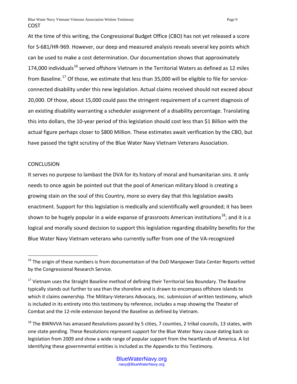At the time of this writing, the Congressional Budget Office (CBO) has not yet released a score for S-681/HR-969. However, our deep and measured analysis reveals several key points which can be used to make a cost determination. Our documentation shows that approximately 174,000 individuals<sup>[16](#page-8-0)</sup> served offshore Vietnam in the Territorial Waters as defined as 12 miles from Baseline.<sup>[17](#page-8-1)</sup> Of those, we estimate that less than 35,000 will be eligible to file for serviceconnected disability under this new legislation. Actual claims received should not exceed about 20,000. Of those, about 15,000 could pass the stringent requirement of a current diagnosis of an existing disability warranting a scheduler assignment of a disability percentage. Translating this into dollars, the 10-year period of this legislation should cost less than \$1 Billion with the actual figure perhaps closer to \$800 Million. These estimates await verification by the CBO, but have passed the tight scrutiny of the Blue Water Navy Vietnam Veterans Association.

## **CONCLUSION**

 $\overline{a}$ 

It serves no purpose to lambast the DVA for its history of moral and humanitarian sins. It only needs to once again be pointed out that the pool of American military blood is creating a growing stain on the soul of this Country, more so every day that this legislation awaits enactment. Support for this legislation is medically and scientifically well grounded; it has been shown to be hugely popular in a wide expanse of grassroots American institutions<sup>18</sup>; and it is a logical and morally sound decision to support this legislation regarding disability benefits for the Blue Water Navy Vietnam veterans who currently suffer from one of the VA-recognized

<span id="page-8-0"></span><sup>&</sup>lt;sup>16</sup> The origin of these numbers is from documentation of the DoD Manpower Data Center Reports vetted by the Congressional Research Service.

<span id="page-8-1"></span><sup>&</sup>lt;sup>17</sup> Vietnam uses the Straight Baseline method of defining their Territorial Sea Boundary. The Baseline typically stands out further to sea than the shoreline and is drawn to encompass offshore islands to which it claims ownership. The Military-Veterans Advocacy, Inc. submission of written testimony, which is included in its entirety into this testimony by reference, includes a map showing the Theater of Combat and the 12-mile extension beyond the Baseline as defined by Vietnam.

<span id="page-8-2"></span> $18$  The BWNVVA has amassed Resolutions passed by 5 cities, 7 counties, 2 tribal councils, 13 states, with one state pending. These Resolutions represent support for the Blue Water Navy cause dating back so legislation from 2009 and show a wide range of popular support from the heartlands of America. A list identifying these governmental entities is included as the Appendix to this Testimony.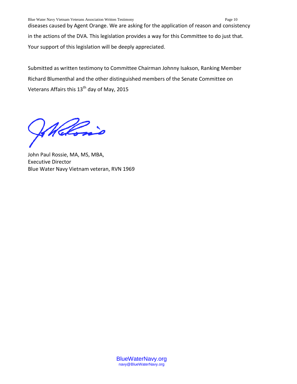diseases caused by Agent Orange. We are asking for the application of reason and consistency in the actions of the DVA. This legislation provides a way for this Committee to do just that. Your support of this legislation will be deeply appreciated.

Submitted as written testimony to Committee Chairman Johnny Isakson, Ranking Member Richard Blumenthal and the other distinguished members of the Senate Committee on Veterans Affairs this 13<sup>th</sup> day of May, 2015

Wellowin

John Paul Rossie, MA, MS, MBA, Executive Director Blue Water Navy Vietnam veteran, RVN 1969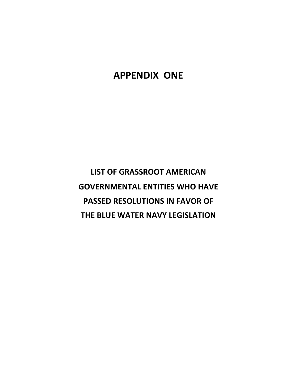# **APPENDIX ONE**

**LIST OF GRASSROOT AMERICAN GOVERNMENTAL ENTITIES WHO HAVE PASSED RESOLUTIONS IN FAVOR OF THE BLUE WATER NAVY LEGISLATION**